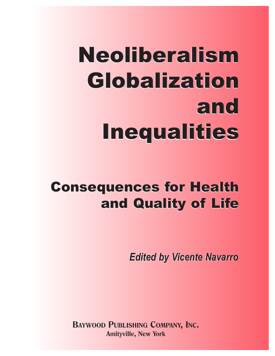# Neoliberalism Neoliberalism Globalization Globalization and and Inequalities Inequalities

# Consequences for Health Consequences for Health and Quality of Life and Quality of Life

*Edited by Vicente Navarro Edited by Vicente Navarro*

**BAYWOOD PUBLISHING COMPANY, INC. Amityville, New York**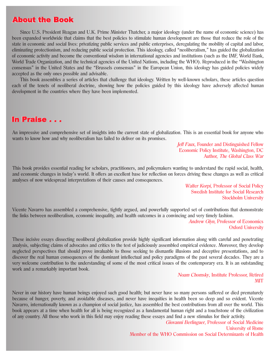# About the Book About the Book

Since U.S. President Reagan and U.K. Prime Minister Thatcher, a major ideology (under the name of economic science) has been expanded worldwide that claims that the best policies to stimulate human development are those that reduce the role of the state in economic and social lives: privatizing public services and public enterprises, deregulating the mobility of capital and labor, eliminating protectionism, and reducing public social protection. This ideology, called "neoliberalism," has guided the globalization of economic activity and become the conventional wisdom in international agencies and institutions (such as the IMF, World Bank, World Trade Organization, and the technical agencies of the United Nations, including the WHO). Reproduced in the "Washington consensus" in the United States and the "Brussels consensus" in the European Union, this ideology has guided policies widely accepted as the only ones possible and advisable.

This book assembles a series of articles that challenge that ideology. Written by well-known scholars, these articles question each of the tenets of neoliberal doctrine, showing how the policies guided by this ideology have adversely affected human development in the countries where they have been implemented.

# In Praise . . . In Praise . . .

An impressive and comprehensive set of insights into the current state of globalization. This is an essential book for anyone who wants to know how and why neoliberalism has failed to deliver on its promises.

> Jeff Faux, Founder and Distinguished Fellow Economic Policy Institute, Washington, DC Author, The Global Class War

This book provides essential reading for scholars, practitioners, and policymakers wanting to understand the rapid social, health, and economic changes in today's world. It offers an excellent base for reflection on forces driving these changes as well as critical analyses of now widespread interpretations of their causes and consequences.

> Walter Korpi, Professor of Social Policy Swedish Institute for Social Research Stockholm University

Vicente Navarro has assembled a comprehensive, tightly argued, and powerfully supported set of contributions that demonstrate the links between neoliberalism, economic inequality, and health outcomes in a convincing and very timely fashion.

> Andrew Glyn, Professor of Economics Oxford University

These incisive essays dissecting neoliberal globalization provide highly significant information along with careful and penetrating analysis, subjecting claims of advocates and critics to the test of judiciously assembled empirical evidence. Moreover, they develop neglected perspectives that should prove invaluable to those seeking to dismantle illusions and deceptive presentations, and to discover the real human consequences of the dominant intellectual and policy paradigms of the past several decades. They are a very welcome contribution to the understanding of some of the most critical issues of the contemporary era. It is an outstanding work and a remarkably important book.

> Noam Chomsky, Institute Professor, Retired **MIT**

Never in our history have human beings enjoyed such good health; but never have so many persons suffered or died prematurely because of hunger, poverty, and avoidable diseases, and never have inequities in health been so deep and so evident. Vicente Navarro, internationally known as a champion of social justice, has assembled the best contributions from all over the world. This book appears at a time when health for all is being recognized as a fundamental human right and a touchstone of the civilization of any country. All those who work in this field may enjoy reading these essays and find a new stimulus for their activity.

> Giovanni Berlinguer, Professor of Social Medicine University of Rome Member of the WHO Commission on Social Determinants of Health